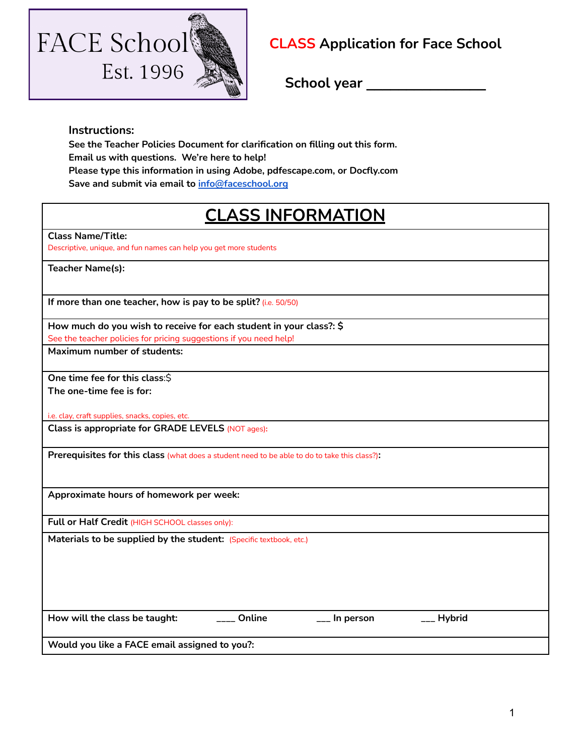

## **CLASS Application for Face School**

**School year \_\_\_\_\_\_\_\_\_\_\_\_\_\_\_**

## **Instructions:**

**See the Teacher Policies Document for clarification on filling out this form. Email us with questions. We're here to help! Please type this information in using Adobe, pdfescape.com, or Docfly.com Save and submit via email to [info@faceschool.org](mailto:info@faceschool.org)**

## **CLASS INFORMATION**

**Class Name/Title:**

Descriptive, unique, and fun names can help you get more students

**Teacher Name(s):**

**If more than one teacher, how is pay to be split?** (i.e. 50/50)

**How much do you wish to receive for each student in your class?: \$** 

See the teacher policies for pricing suggestions if you need help!

**Maximum number of students:**

**One time fee for this class**:\$ **The one-time fee is for:**

i.e. clay, craft supplies, snacks, copies, etc.

**Class is appropriate for GRADE LEVELS** (NOT ages)**:**

**Prerequisites for this class** (what does a student need to be able to do to take this class?)**:**

**Approximate hours of homework per week:**

Full or Half Credit (HIGH SCHOOL classes only):

Materials to be supplied by the student: (Specific textbook, etc.)

**How will the class be taught: \_\_\_\_ Online \_\_\_ In person \_\_\_ Hybrid**

**Would you like a FACE email assigned to you?:**